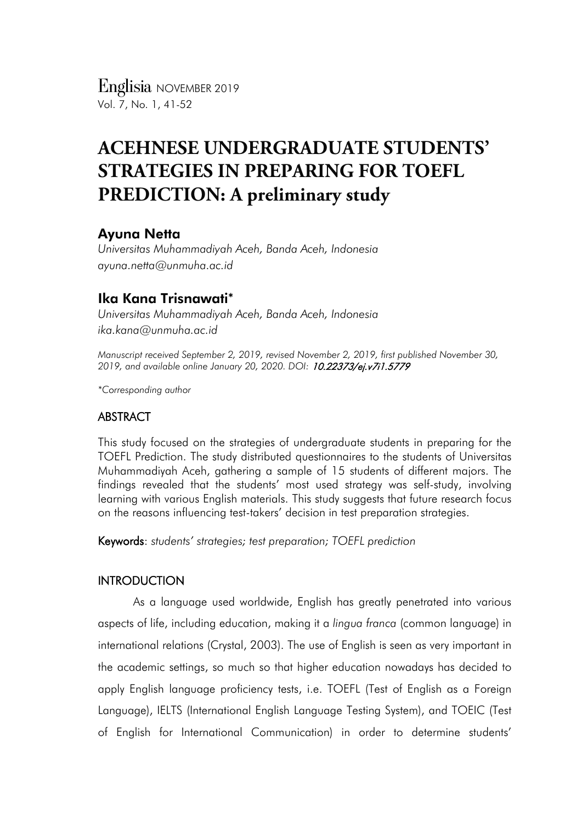*Englisia* NOVEMBER 2019 Vol. 7, No. 1, 41-52

# **ACEHNESE UNDERGRADUATE STUDENTS' STRATEGIES IN PREPARING FOR TOEFL PREDICTION: A preliminary study**

# Ayuna Netta

*Universitas Muhammadiyah Aceh, Banda Aceh, Indonesia ayuna.netta@unmuha.ac.id*

# Ika Kana Trisnawati\*

*Universitas Muhammadiyah Aceh, Banda Aceh, Indonesia ika.kana@unmuha.ac.id*

*Manuscript received September 2, 2019, revised November 2, 2019, first published November 30, 2019, and available online January 20, 2020. DOI:* 10.22373/ej.v7i1.5779

*\*Corresponding author*

## ABSTRACT

This study focused on the strategies of undergraduate students in preparing for the TOEFL Prediction. The study distributed questionnaires to the students of Universitas Muhammadiyah Aceh, gathering a sample of 15 students of different majors. The findings revealed that the students' most used strategy was self-study, involving learning with various English materials. This study suggests that future research focus on the reasons influencing test-takers' decision in test preparation strategies.

Keywords: *students' strategies; test preparation; TOEFL prediction*

## **INTRODUCTION**

As a language used worldwide, English has greatly penetrated into various aspects of life, including education, making it a *lingua franca* (common language) in international relations (Crystal, 2003). The use of English is seen as very important in the academic settings, so much so that higher education nowadays has decided to apply English language proficiency tests, i.e. TOEFL (Test of English as a Foreign Language), IELTS (International English Language Testing System), and TOEIC (Test of English for International Communication) in order to determine students'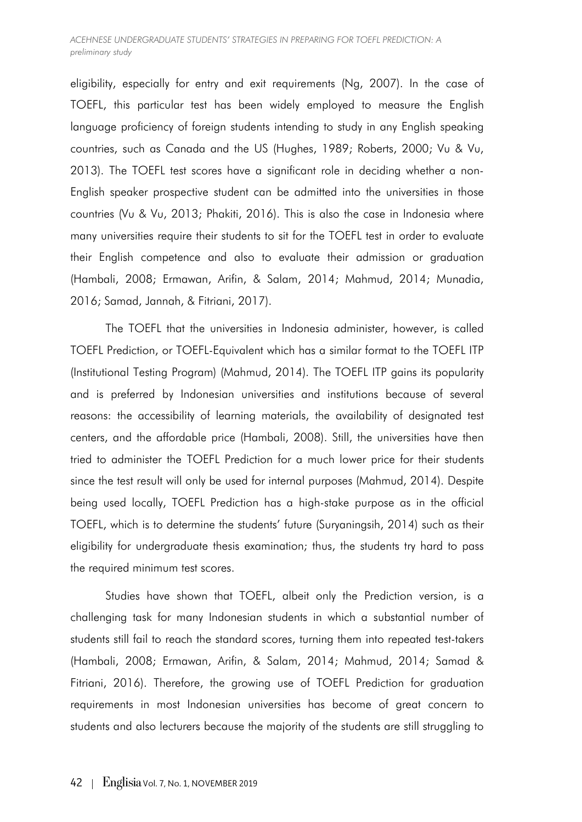eligibility, especially for entry and exit requirements (Ng, 2007). In the case of TOEFL, this particular test has been widely employed to measure the English language proficiency of foreign students intending to study in any English speaking countries, such as Canada and the US (Hughes, 1989; Roberts, 2000; Vu & Vu, 2013). The TOEFL test scores have a significant role in deciding whether a non-English speaker prospective student can be admitted into the universities in those countries (Vu & Vu, 2013; Phakiti, 2016). This is also the case in Indonesia where many universities require their students to sit for the TOEFL test in order to evaluate their English competence and also to evaluate their admission or graduation (Hambali, 2008; Ermawan, Arifin, & Salam, 2014; Mahmud, 2014; Munadia, 2016; Samad, Jannah, & Fitriani, 2017).

The TOEFL that the universities in Indonesia administer, however, is called TOEFL Prediction, or TOEFL-Equivalent which has a similar format to the TOEFL ITP (Institutional Testing Program) (Mahmud, 2014). The TOEFL ITP gains its popularity and is preferred by Indonesian universities and institutions because of several reasons: the accessibility of learning materials, the availability of designated test centers, and the affordable price (Hambali, 2008). Still, the universities have then tried to administer the TOEFL Prediction for a much lower price for their students since the test result will only be used for internal purposes (Mahmud, 2014). Despite being used locally, TOEFL Prediction has a high-stake purpose as in the official TOEFL, which is to determine the students' future (Suryaningsih, 2014) such as their eligibility for undergraduate thesis examination; thus, the students try hard to pass the required minimum test scores.

Studies have shown that TOEFL, albeit only the Prediction version, is a challenging task for many Indonesian students in which a substantial number of students still fail to reach the standard scores, turning them into repeated test-takers (Hambali, 2008; Ermawan, Arifin, & Salam, 2014; Mahmud, 2014; Samad & Fitriani, 2016). Therefore, the growing use of TOEFL Prediction for graduation requirements in most Indonesian universities has become of great concern to students and also lecturers because the majority of the students are still struggling to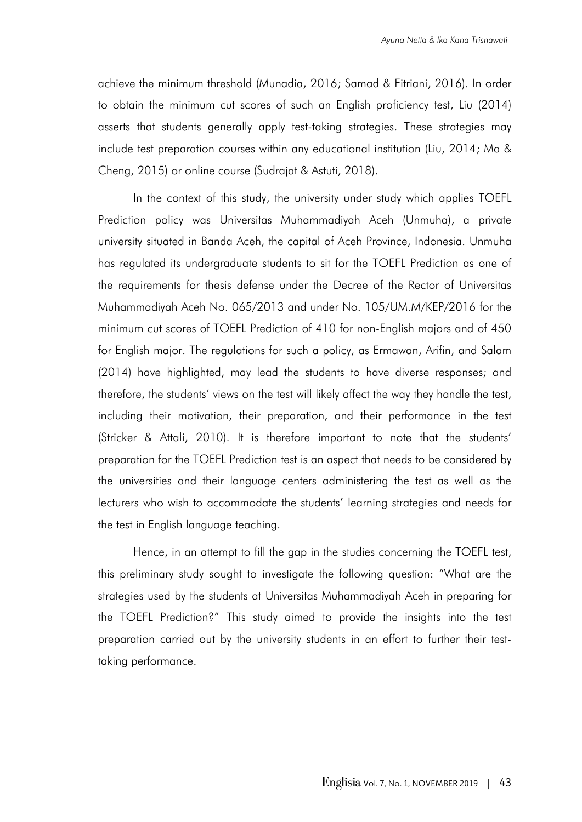achieve the minimum threshold (Munadia, 2016; Samad & Fitriani, 2016). In order to obtain the minimum cut scores of such an English proficiency test, Liu (2014) asserts that students generally apply test-taking strategies. These strategies may include test preparation courses within any educational institution (Liu, 2014; Ma & Cheng, 2015) or online course (Sudrajat & Astuti, 2018).

In the context of this study, the university under study which applies TOEFL Prediction policy was Universitas Muhammadiyah Aceh (Unmuha), a private university situated in Banda Aceh, the capital of Aceh Province, Indonesia. Unmuha has regulated its undergraduate students to sit for the TOEFL Prediction as one of the requirements for thesis defense under the Decree of the Rector of Universitas Muhammadiyah Aceh No. 065/2013 and under No. 105/UM.M/KEP/2016 for the minimum cut scores of TOEFL Prediction of 410 for non-English majors and of 450 for English major. The regulations for such a policy, as Ermawan, Arifin, and Salam (2014) have highlighted, may lead the students to have diverse responses; and therefore, the students' views on the test will likely affect the way they handle the test, including their motivation, their preparation, and their performance in the test (Stricker & Attali, 2010). It is therefore important to note that the students' preparation for the TOEFL Prediction test is an aspect that needs to be considered by the universities and their language centers administering the test as well as the lecturers who wish to accommodate the students' learning strategies and needs for the test in English language teaching.

Hence, in an attempt to fill the gap in the studies concerning the TOEFL test, this preliminary study sought to investigate the following question: "What are the strategies used by the students at Universitas Muhammadiyah Aceh in preparing for the TOEFL Prediction?" This study aimed to provide the insights into the test preparation carried out by the university students in an effort to further their testtaking performance.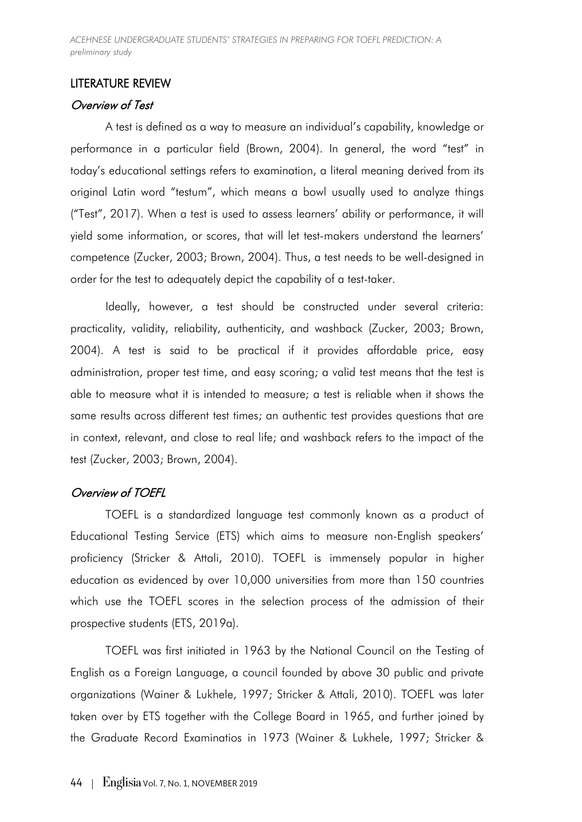*ACEHNESE UNDERGRADUATE STUDENTS' STRATEGIES IN PREPARING FOR TOEFL PREDICTION: A preliminary study*

### LITERATURE REVIEW

### Overview of Test

A test is defined as a way to measure an individual's capability, knowledge or performance in a particular field (Brown, 2004). In general, the word "test" in today's educational settings refers to examination, a literal meaning derived from its original Latin word "testum", which means a bowl usually used to analyze things ("Test", 2017). When a test is used to assess learners' ability or performance, it will yield some information, or scores, that will let test-makers understand the learners' competence (Zucker, 2003; Brown, 2004). Thus, a test needs to be well-designed in order for the test to adequately depict the capability of a test-taker.

Ideally, however, a test should be constructed under several criteria: practicality, validity, reliability, authenticity, and washback (Zucker, 2003; Brown, 2004). A test is said to be practical if it provides affordable price, easy administration, proper test time, and easy scoring; a valid test means that the test is able to measure what it is intended to measure; a test is reliable when it shows the same results across different test times; an authentic test provides questions that are in context, relevant, and close to real life; and washback refers to the impact of the test (Zucker, 2003; Brown, 2004).

#### Overview of TOEFL

TOEFL is a standardized language test commonly known as a product of Educational Testing Service (ETS) which aims to measure non-English speakers' proficiency (Stricker & Attali, 2010). TOEFL is immensely popular in higher education as evidenced by over 10,000 universities from more than 150 countries which use the TOEFL scores in the selection process of the admission of their prospective students (ETS, 2019a).

TOEFL was first initiated in 1963 by the National Council on the Testing of English as a Foreign Language, a council founded by above 30 public and private organizations (Wainer & Lukhele, 1997; Stricker & Attali, 2010). TOEFL was later taken over by ETS together with the College Board in 1965, and further joined by the Graduate Record Examinatios in 1973 (Wainer & Lukhele, 1997; Stricker &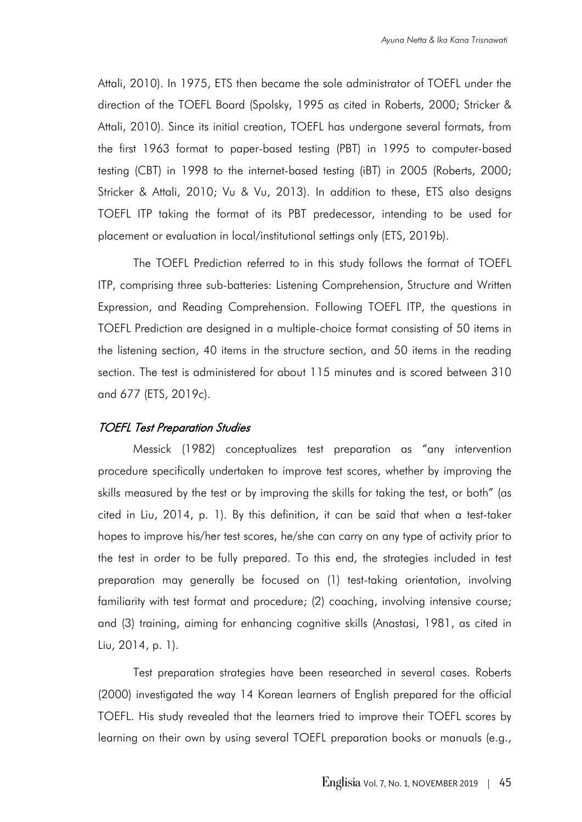Attali, 2010). In 1975, ETS then became the sole administrator of TOEFL under the direction of the TOEFL Board (Spolsky, 1995 as cited in Roberts, 2000; Stricker & Attali, 2010). Since its initial creation, TOEFL has undergone several formats, from the first 1963 format to paper-based testing (PBT) in 1995 to computer-based testing (CBT) in 1998 to the internet-based testing (iBT) in 2005 (Roberts, 2000; Stricker & Attali, 2010; Vu & Vu, 2013). In addition to these, ETS also designs TOEFL ITP taking the format of its PBT predecessor, intending to be used for placement or evaluation in local/institutional settings only (ETS, 2019b).

The TOEFL Prediction referred to in this study follows the format of TOEFL ITP, comprising three sub-batteries: Listening Comprehension, Structure and Written Expression, and Reading Comprehension. Following TOEFL ITP, the questions in TOEFL Prediction are designed in a multiple-choice format consisting of 50 items in the listening section, 40 items in the structure section, and 50 items in the reading section. The test is administered for about 115 minutes and is scored between 310 and 677 (ETS, 2019c).

#### TOEFL Test Preparation Studies

Messick (1982) conceptualizes test preparation as "any intervention procedure specifically undertaken to improve test scores, whether by improving the skills measured by the test or by improving the skills for taking the test, or both" (as cited in Liu, 2014, p. 1). By this definition, it can be said that when a test-taker hopes to improve his/her test scores, he/she can carry on any type of activity prior to the test in order to be fully prepared. To this end, the strategies included in test preparation may generally be focused on (1) test-taking orientation, involving familiarity with test format and procedure; (2) coaching, involving intensive course; and (3) training, aiming for enhancing cognitive skills (Anastasi, 1981, as cited in Liu, 2014, p. 1).

Test preparation strategies have been researched in several cases. Roberts (2000) investigated the way 14 Korean learners of English prepared for the official TOEFL. His study revealed that the learners tried to improve their TOEFL scores by learning on their own by using several TOEFL preparation books or manuals (e.g.,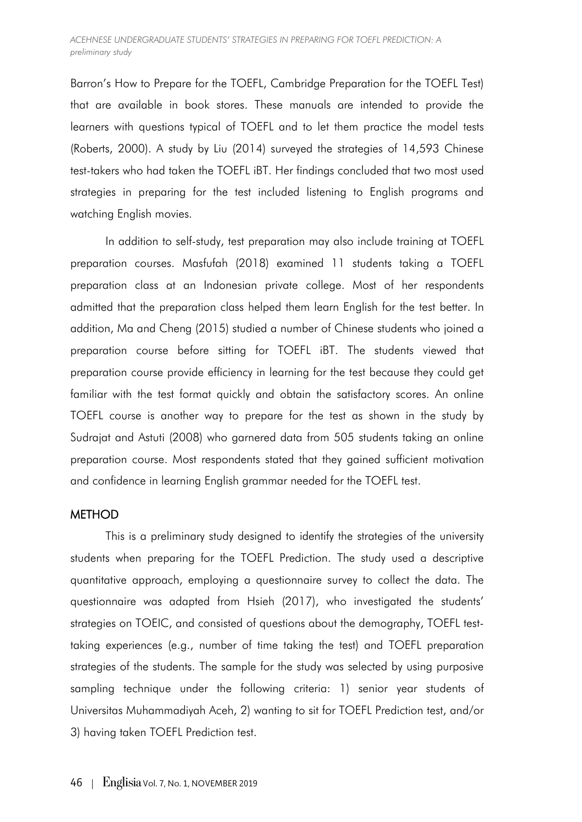Barron's How to Prepare for the TOEFL, Cambridge Preparation for the TOEFL Test) that are available in book stores. These manuals are intended to provide the learners with questions typical of TOEFL and to let them practice the model tests (Roberts, 2000). A study by Liu (2014) surveyed the strategies of 14,593 Chinese test-takers who had taken the TOEFL iBT. Her findings concluded that two most used strategies in preparing for the test included listening to English programs and watching English movies.

In addition to self-study, test preparation may also include training at TOEFL preparation courses. Masfufah (2018) examined 11 students taking a TOEFL preparation class at an Indonesian private college. Most of her respondents admitted that the preparation class helped them learn English for the test better. In addition, Ma and Cheng (2015) studied a number of Chinese students who joined a preparation course before sitting for TOEFL iBT. The students viewed that preparation course provide efficiency in learning for the test because they could get familiar with the test format quickly and obtain the satisfactory scores. An online TOEFL course is another way to prepare for the test as shown in the study by Sudrajat and Astuti (2008) who garnered data from 505 students taking an online preparation course. Most respondents stated that they gained sufficient motivation and confidence in learning English grammar needed for the TOEFL test.

## **METHOD**

This is a preliminary study designed to identify the strategies of the university students when preparing for the TOEFL Prediction. The study used a descriptive quantitative approach, employing a questionnaire survey to collect the data. The questionnaire was adapted from Hsieh (2017), who investigated the students' strategies on TOEIC, and consisted of questions about the demography, TOEFL testtaking experiences (e.g., number of time taking the test) and TOEFL preparation strategies of the students. The sample for the study was selected by using purposive sampling technique under the following criteria: 1) senior year students of Universitas Muhammadiyah Aceh, 2) wanting to sit for TOEFL Prediction test, and/or 3) having taken TOEFL Prediction test.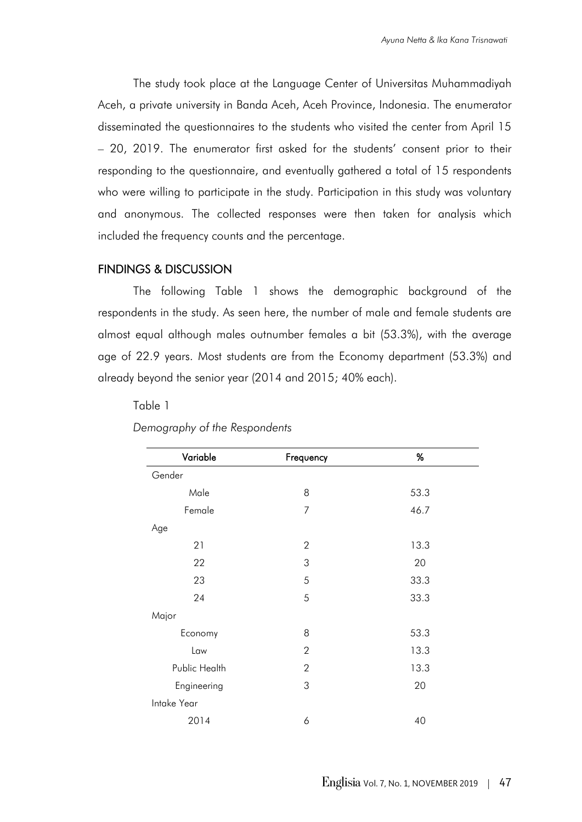The study took place at the Language Center of Universitas Muhammadiyah Aceh, a private university in Banda Aceh, Aceh Province, Indonesia. The enumerator disseminated the questionnaires to the students who visited the center from April 15 – 20, 2019. The enumerator first asked for the students' consent prior to their responding to the questionnaire, and eventually gathered a total of 15 respondents who were willing to participate in the study. Participation in this study was voluntary and anonymous. The collected responses were then taken for analysis which included the frequency counts and the percentage.

#### FINDINGS & DISCUSSION

The following Table 1 shows the demographic background of the respondents in the study. As seen here, the number of male and female students are almost equal although males outnumber females a bit (53.3%), with the average age of 22.9 years. Most students are from the Economy department (53.3%) and already beyond the senior year (2014 and 2015; 40% each).

## Table 1

| Variable      | Frequency      | %    |
|---------------|----------------|------|
| Gender        |                |      |
| Male          | 8              | 53.3 |
| Female        | $\overline{7}$ | 46.7 |
| Age           |                |      |
| 21            | $\overline{2}$ | 13.3 |
| 22            | 3              | 20   |
| 23            | 5              | 33.3 |
| 24            | 5              | 33.3 |
| Major         |                |      |
| Economy       | 8              | 53.3 |
| Law           | $\overline{2}$ | 13.3 |
| Public Health | $\overline{2}$ | 13.3 |
| Engineering   | 3              | 20   |
| Intake Year   |                |      |
| 2014          | 6              | 40   |

#### *Demography of the Respondents*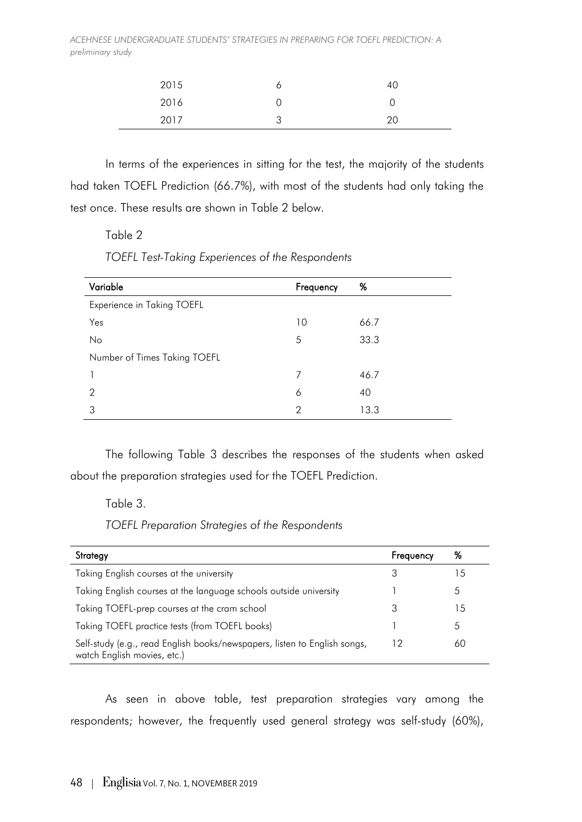*ACEHNESE UNDERGRADUATE STUDENTS' STRATEGIES IN PREPARING FOR TOEFL PREDICTION: A preliminary study*

| 2015 |   | 40 |
|------|---|----|
| 2016 | v | ັ  |
| 2017 | ں | 20 |

In terms of the experiences in sitting for the test, the majority of the students had taken TOEFL Prediction (66.7%), with most of the students had only taking the test once. These results are shown in Table 2 below.

### Table 2

*TOEFL Test-Taking Experiences of the Respondents*

| Variable                     | Frequency | %    |
|------------------------------|-----------|------|
| Experience in Taking TOEFL   |           |      |
| Yes                          | 10        | 66.7 |
| No                           | 5         | 33.3 |
| Number of Times Taking TOEFL |           |      |
|                              | 7         | 46.7 |
| 2                            | 6         | 40   |
| 3                            | 2         | 13.3 |

The following Table 3 describes the responses of the students when asked about the preparation strategies used for the TOEFL Prediction.

#### Table 3.

*TOEFL Preparation Strategies of the Respondents*

| Strategy                                                                                                 | Frequency | %             |
|----------------------------------------------------------------------------------------------------------|-----------|---------------|
| Taking English courses at the university                                                                 | З         | 15            |
| Taking English courses at the language schools outside university                                        |           | $\mathcal{L}$ |
| Taking TOEFL-prep courses at the cram school                                                             |           | 15            |
| Taking TOEFL practice tests (from TOEFL books)                                                           |           | $\Delta$      |
| Self-study (e.g., read English books/newspapers, listen to English songs,<br>watch English movies, etc.) | 12        | 60            |

As seen in above table, test preparation strategies vary among the respondents; however, the frequently used general strategy was self-study (60%),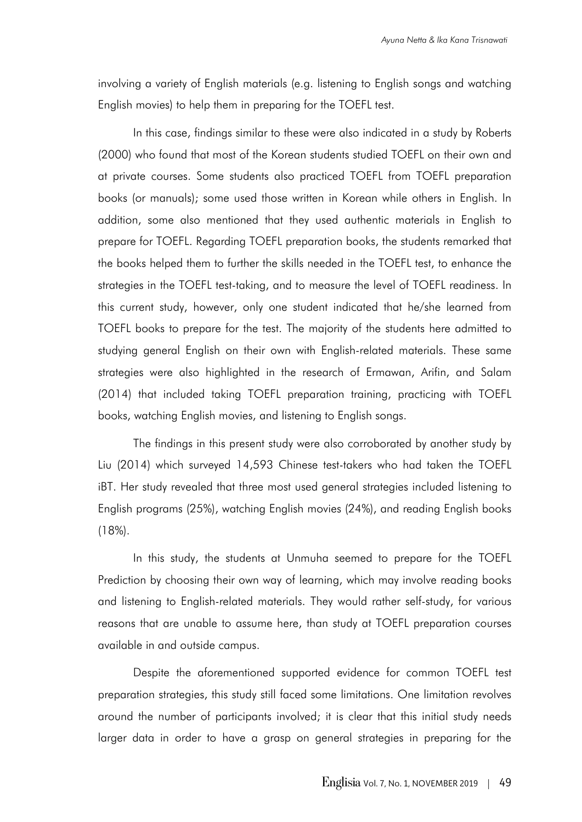involving a variety of English materials (e.g. listening to English songs and watching English movies) to help them in preparing for the TOEFL test.

In this case, findings similar to these were also indicated in a study by Roberts (2000) who found that most of the Korean students studied TOEFL on their own and at private courses. Some students also practiced TOEFL from TOEFL preparation books (or manuals); some used those written in Korean while others in English. In addition, some also mentioned that they used authentic materials in English to prepare for TOEFL. Regarding TOEFL preparation books, the students remarked that the books helped them to further the skills needed in the TOEFL test, to enhance the strategies in the TOEFL test-taking, and to measure the level of TOEFL readiness. In this current study, however, only one student indicated that he/she learned from TOEFL books to prepare for the test. The majority of the students here admitted to studying general English on their own with English-related materials. These same strategies were also highlighted in the research of Ermawan, Arifin, and Salam (2014) that included taking TOEFL preparation training, practicing with TOEFL books, watching English movies, and listening to English songs.

The findings in this present study were also corroborated by another study by Liu (2014) which surveyed 14,593 Chinese test-takers who had taken the TOEFL iBT. Her study revealed that three most used general strategies included listening to English programs (25%), watching English movies (24%), and reading English books (18%).

In this study, the students at Unmuha seemed to prepare for the TOEFL Prediction by choosing their own way of learning, which may involve reading books and listening to English-related materials. They would rather self-study, for various reasons that are unable to assume here, than study at TOEFL preparation courses available in and outside campus.

Despite the aforementioned supported evidence for common TOEFL test preparation strategies, this study still faced some limitations. One limitation revolves around the number of participants involved; it is clear that this initial study needs larger data in order to have a grasp on general strategies in preparing for the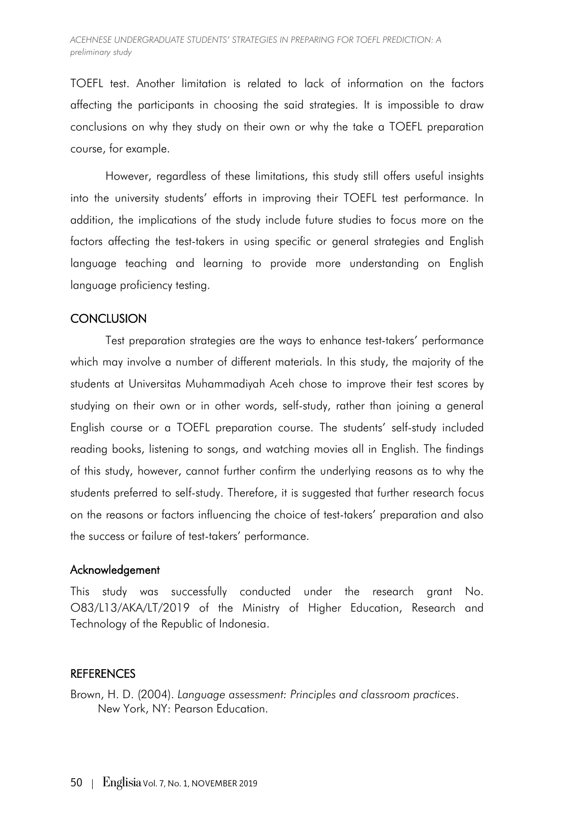TOEFL test. Another limitation is related to lack of information on the factors affecting the participants in choosing the said strategies. It is impossible to draw conclusions on why they study on their own or why the take a TOEFL preparation course, for example.

However, regardless of these limitations, this study still offers useful insights into the university students' efforts in improving their TOEFL test performance. In addition, the implications of the study include future studies to focus more on the factors affecting the test-takers in using specific or general strategies and English language teaching and learning to provide more understanding on English language proficiency testing.

## **CONCLUSION**

Test preparation strategies are the ways to enhance test-takers' performance which may involve a number of different materials. In this study, the majority of the students at Universitas Muhammadiyah Aceh chose to improve their test scores by studying on their own or in other words, self-study, rather than joining a general English course or a TOEFL preparation course. The students' self-study included reading books, listening to songs, and watching movies all in English. The findings of this study, however, cannot further confirm the underlying reasons as to why the students preferred to self-study. Therefore, it is suggested that further research focus on the reasons or factors influencing the choice of test-takers' preparation and also the success or failure of test-takers' performance.

## Acknowledgement

This study was successfully conducted under the research grant No. O83/L13/AKA/LT/2019 of the Ministry of Higher Education, Research and Technology of the Republic of Indonesia.

## **REFERENCES**

Brown, H. D. (2004). *Language assessment: Principles and classroom practices*. New York, NY: Pearson Education.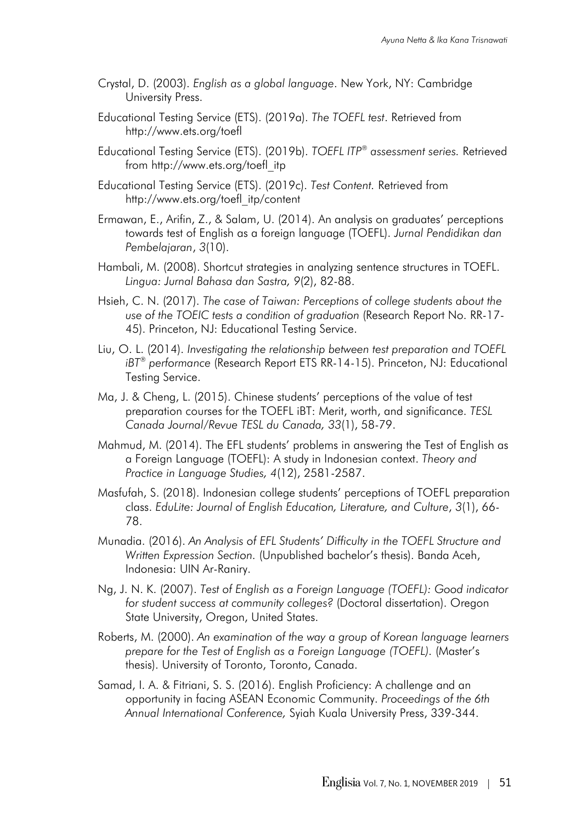- Crystal, D. (2003). *English as a global language*. New York, NY: Cambridge University Press.
- Educational Testing Service (ETS). (2019a). *The TOEFL test*. Retrieved from http://www.ets.org/toefl
- Educational Testing Service (ETS). (2019b). *TOEFL ITP® assessment series.* Retrieved from http://www.ets.org/toefl\_itp
- Educational Testing Service (ETS). (2019c). *Test Content.* Retrieved from http://www.ets.org/toefl\_itp/content
- Ermawan, E., Arifin, Z., & Salam, U. (2014). An analysis on graduates' perceptions towards test of English as a foreign language (TOEFL). *Jurnal Pendidikan dan Pembelajaran*, *3*(10).
- Hambali, M. (2008). Shortcut strategies in analyzing sentence structures in TOEFL. *Lingua: Jurnal Bahasa dan Sastra, 9*(2), 82-88.
- Hsieh, C. N. (2017). *The case of Taiwan: Perceptions of college students about the use of the TOEIC tests a condition of graduation* (Research Report No. RR-17- 45). Princeton, NJ: Educational Testing Service.
- Liu, O. L. (2014). *Investigating the relationship between test preparation and TOEFL iBT® performance* (Research Report ETS RR-14-15). Princeton, NJ: Educational Testing Service.
- Ma, J. & Cheng, L. (2015). Chinese students' perceptions of the value of test preparation courses for the TOEFL iBT: Merit, worth, and significance. *TESL Canada Journal/Revue TESL du Canada, 33*(1), 58-79.
- Mahmud, M. (2014). The EFL students' problems in answering the Test of English as a Foreign Language (TOEFL): A study in Indonesian context. *Theory and Practice in Language Studies, 4*(12), 2581-2587.
- Masfufah, S. (2018). Indonesian college students' perceptions of TOEFL preparation class. *EduLite: Journal of English Education, Literature, and Culture*, *3*(1), 66- 78.
- Munadia. (2016). *An Analysis of EFL Students' Difficulty in the TOEFL Structure and Written Expression Section.* (Unpublished bachelor's thesis). Banda Aceh, Indonesia: UIN Ar-Raniry.
- Ng, J. N. K. (2007). *Test of English as a Foreign Language (TOEFL): Good indicator for student success at community colleges?* (Doctoral dissertation). Oregon State University, Oregon, United States.
- Roberts, M. (2000). *An examination of the way a group of Korean language learners prepare for the Test of English as a Foreign Language (TOEFL).* (Master's thesis). University of Toronto, Toronto, Canada.
- Samad, I. A. & Fitriani, S. S. (2016). English Proficiency: A challenge and an opportunity in facing ASEAN Economic Community. *Proceedings of the 6th Annual International Conference,* Syiah Kuala University Press, 339-344.